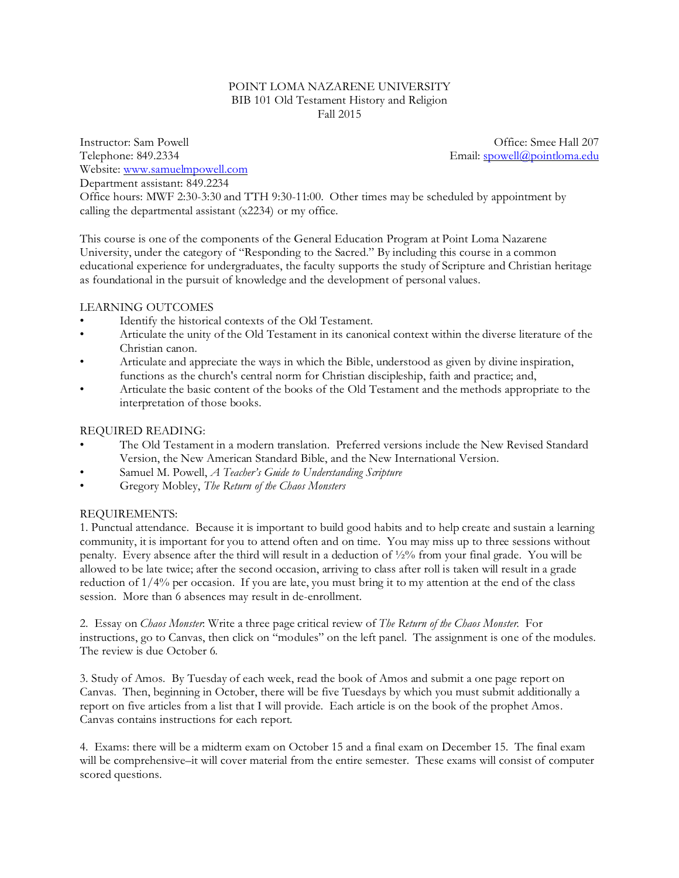#### POINT LOMA NAZARENE UNIVERSITY BIB 101 Old Testament History and Religion Fall 2015

Instructor: Sam Powell **Instructor: Sam Powell Community Office: Smee Hall 207** Telephone: 849.2334 **Email:** [spowell@pointloma.edu](mailto:spowell@ptloma.edu) Website: [www.samuelmpowell.com](http://www.samuelmpowell.com) Department assistant: 849.2234

Office hours: MWF 2:30-3:30 and TTH 9:30-11:00. Other times may be scheduled by appointment by calling the departmental assistant (x2234) or my office.

This course is one of the components of the General Education Program at Point Loma Nazarene University, under the category of "Responding to the Sacred." By including this course in a common educational experience for undergraduates, the faculty supports the study of Scripture and Christian heritage as foundational in the pursuit of knowledge and the development of personal values.

# LEARNING OUTCOMES

- Identify the historical contexts of the Old Testament.
- Articulate the unity of the Old Testament in its canonical context within the diverse literature of the Christian canon.
- Articulate and appreciate the ways in which the Bible, understood as given by divine inspiration, functions as the church's central norm for Christian discipleship, faith and practice; and,
- Articulate the basic content of the books of the Old Testament and the methods appropriate to the interpretation of those books.

## REQUIRED READING:

- The Old Testament in a modern translation. Preferred versions include the New Revised Standard Version, the New American Standard Bible, and the New International Version.
- Samuel M. Powell, *A Teacher's Guide to Understanding Scripture*
- Gregory Mobley, *The Return of the Chaos Monsters*

### REQUIREMENTS:

1. Punctual attendance. Because it is important to build good habits and to help create and sustain a learning community, it is important for you to attend often and on time. You may miss up to three sessions without penalty. Every absence after the third will result in a deduction of ½% from your final grade. You will be allowed to be late twice; after the second occasion, arriving to class after roll is taken will result in a grade reduction of 1/4% per occasion. If you are late, you must bring it to my attention at the end of the class session. More than 6 absences may result in de-enrollment.

2. Essay on *Chaos Monster*: Write a three page critical review of *The Return of the Chaos Monster*. For instructions, go to Canvas, then click on "modules" on the left panel. The assignment is one of the modules. The review is due October 6.

3. Study of Amos. By Tuesday of each week, read the book of Amos and submit a one page report on Canvas. Then, beginning in October, there will be five Tuesdays by which you must submit additionally a report on five articles from a list that I will provide. Each article is on the book of the prophet Amos. Canvas contains instructions for each report.

4. Exams: there will be a midterm exam on October 15 and a final exam on December 15. The final exam will be comprehensive–it will cover material from the entire semester. These exams will consist of computer scored questions.